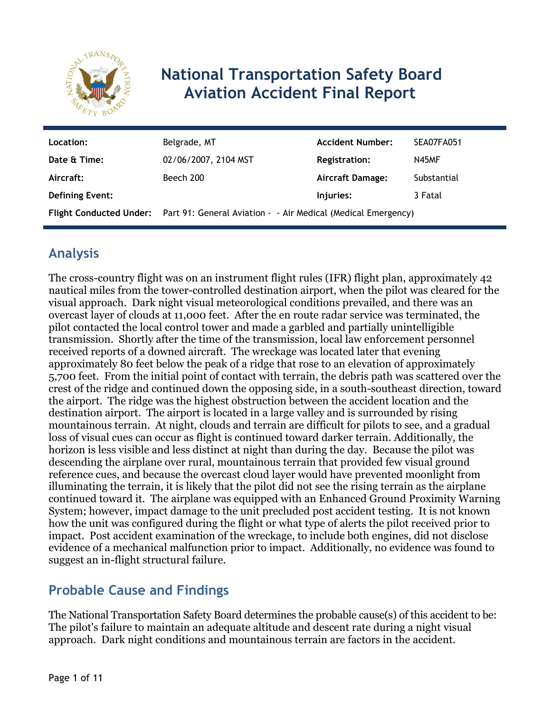

# **National Transportation Safety Board Aviation Accident Final Report**

| Location:              | Belgrade, MT                                                                          | <b>Accident Number:</b> | SEA07FA051  |
|------------------------|---------------------------------------------------------------------------------------|-------------------------|-------------|
| Date & Time:           | 02/06/2007, 2104 MST                                                                  | <b>Registration:</b>    | N45MF       |
| Aircraft:              | Beech 200                                                                             | <b>Aircraft Damage:</b> | Substantial |
| <b>Defining Event:</b> |                                                                                       | Injuries:               | 3 Fatal     |
|                        | Flight Conducted Under: Part 91: General Aviation - - Air Medical (Medical Emergency) |                         |             |

# **Analysis**

The cross-country flight was on an instrument flight rules (IFR) flight plan, approximately 42 nautical miles from the tower-controlled destination airport, when the pilot was cleared for the visual approach. Dark night visual meteorological conditions prevailed, and there was an overcast layer of clouds at 11,000 feet. After the en route radar service was terminated, the pilot contacted the local control tower and made a garbled and partially unintelligible transmission. Shortly after the time of the transmission, local law enforcement personnel received reports of a downed aircraft. The wreckage was located later that evening approximately 80 feet below the peak of a ridge that rose to an elevation of approximately 5,700 feet. From the initial point of contact with terrain, the debris path was scattered over the crest of the ridge and continued down the opposing side, in a south-southeast direction, toward the airport. The ridge was the highest obstruction between the accident location and the destination airport. The airport is located in a large valley and is surrounded by rising mountainous terrain. At night, clouds and terrain are difficult for pilots to see, and a gradual loss of visual cues can occur as flight is continued toward darker terrain. Additionally, the horizon is less visible and less distinct at night than during the day. Because the pilot was descending the airplane over rural, mountainous terrain that provided few visual ground reference cues, and because the overcast cloud layer would have prevented moonlight from illuminating the terrain, it is likely that the pilot did not see the rising terrain as the airplane continued toward it. The airplane was equipped with an Enhanced Ground Proximity Warning System; however, impact damage to the unit precluded post accident testing. It is not known how the unit was configured during the flight or what type of alerts the pilot received prior to impact. Post accident examination of the wreckage, to include both engines, did not disclose evidence of a mechanical malfunction prior to impact. Additionally, no evidence was found to suggest an in-flight structural failure.

# **Probable Cause and Findings**

The National Transportation Safety Board determines the probable cause(s) of this accident to be: The pilot's failure to maintain an adequate altitude and descent rate during a night visual approach. Dark night conditions and mountainous terrain are factors in the accident.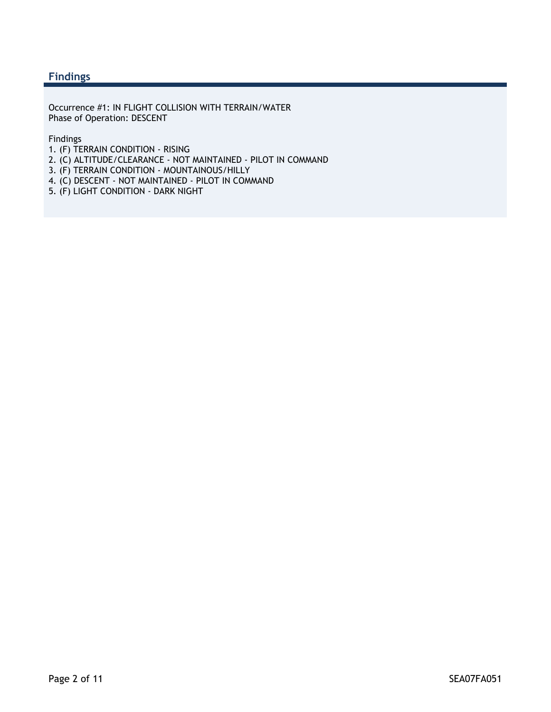#### **Findings**

Occurrence #1: IN FLIGHT COLLISION WITH TERRAIN/WATER Phase of Operation: DESCENT

Findings

- 1. (F) TERRAIN CONDITION RISING
- 2. (C) ALTITUDE/CLEARANCE NOT MAINTAINED PILOT IN COMMAND
- 3. (F) TERRAIN CONDITION MOUNTAINOUS/HILLY
- 4. (C) DESCENT NOT MAINTAINED PILOT IN COMMAND
- 5. (F) LIGHT CONDITION DARK NIGHT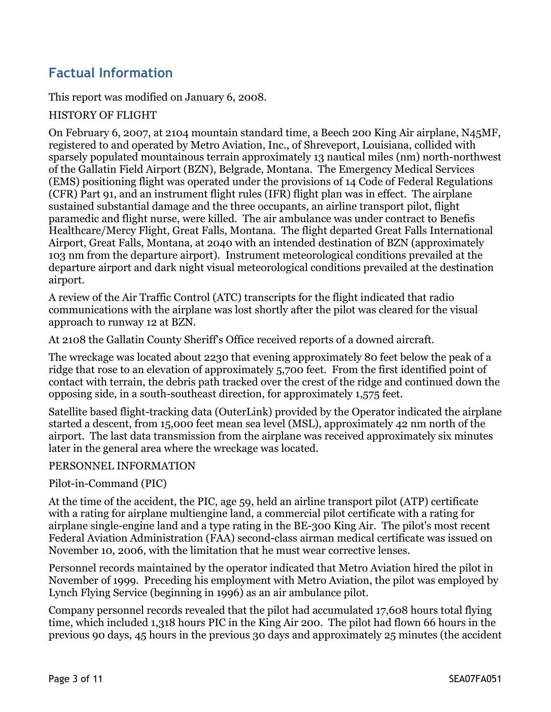# **Factual Information**

This report was modified on January 6, 2008.

#### HISTORY OF FLIGHT

On February 6, 2007, at 2104 mountain standard time, a Beech 200 King Air airplane, N45MF, registered to and operated by Metro Aviation, Inc., of Shreveport, Louisiana, collided with sparsely populated mountainous terrain approximately 13 nautical miles (nm) north-northwest of the Gallatin Field Airport (BZN), Belgrade, Montana. The Emergency Medical Services (EMS) positioning flight was operated under the provisions of 14 Code of Federal Regulations (CFR) Part 91, and an instrument flight rules (IFR) flight plan was in effect. The airplane sustained substantial damage and the three occupants, an airline transport pilot, flight paramedic and flight nurse, were killed. The air ambulance was under contract to Benefis Healthcare/Mercy Flight, Great Falls, Montana. The flight departed Great Falls International Airport, Great Falls, Montana, at 2040 with an intended destination of BZN (approximately 103 nm from the departure airport). Instrument meteorological conditions prevailed at the departure airport and dark night visual meteorological conditions prevailed at the destination airport.

A review of the Air Traffic Control (ATC) transcripts for the flight indicated that radio communications with the airplane was lost shortly after the pilot was cleared for the visual approach to runway 12 at BZN.

At 2108 the Gallatin County Sheriff's Office received reports of a downed aircraft.

The wreckage was located about 2230 that evening approximately 80 feet below the peak of a ridge that rose to an elevation of approximately 5,700 feet. From the first identified point of contact with terrain, the debris path tracked over the crest of the ridge and continued down the opposing side, in a south-southeast direction, for approximately 1,575 feet.

Satellite based flight-tracking data (OuterLink) provided by the Operator indicated the airplane started a descent, from 15,000 feet mean sea level (MSL), approximately 42 nm north of the airport. The last data transmission from the airplane was received approximately six minutes later in the general area where the wreckage was located.

#### PERSONNEL INFORMATION

Pilot-in-Command (PIC)

At the time of the accident, the PIC, age 59, held an airline transport pilot (ATP) certificate with a rating for airplane multiengine land, a commercial pilot certificate with a rating for airplane single-engine land and a type rating in the BE-300 King Air. The pilot's most recent Federal Aviation Administration (FAA) second-class airman medical certificate was issued on November 10, 2006, with the limitation that he must wear corrective lenses.

Personnel records maintained by the operator indicated that Metro Aviation hired the pilot in November of 1999. Preceding his employment with Metro Aviation, the pilot was employed by Lynch Flying Service (beginning in 1996) as an air ambulance pilot.

Company personnel records revealed that the pilot had accumulated 17,608 hours total flying time, which included 1,318 hours PIC in the King Air 200. The pilot had flown 66 hours in the previous 90 days, 45 hours in the previous 30 days and approximately 25 minutes (the accident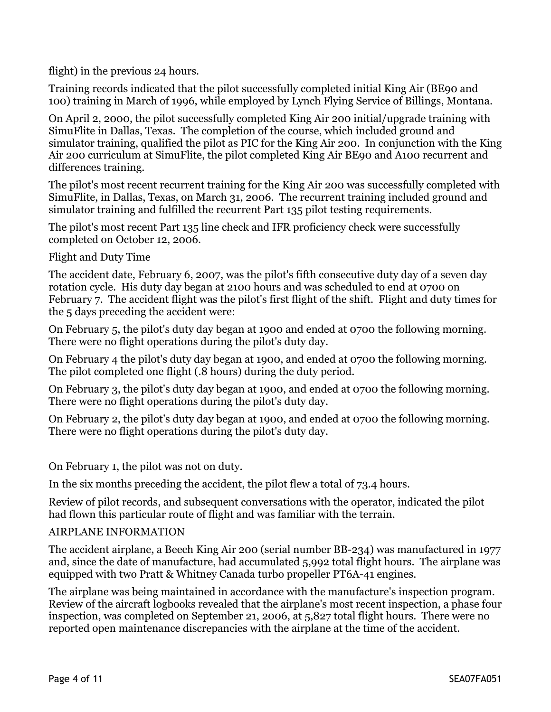flight) in the previous 24 hours.

Training records indicated that the pilot successfully completed initial King Air (BE90 and 100) training in March of 1996, while employed by Lynch Flying Service of Billings, Montana.

On April 2, 2000, the pilot successfully completed King Air 200 initial/upgrade training with SimuFlite in Dallas, Texas. The completion of the course, which included ground and simulator training, qualified the pilot as PIC for the King Air 200. In conjunction with the King Air 200 curriculum at SimuFlite, the pilot completed King Air BE90 and A100 recurrent and differences training.

The pilot's most recent recurrent training for the King Air 200 was successfully completed with SimuFlite, in Dallas, Texas, on March 31, 2006. The recurrent training included ground and simulator training and fulfilled the recurrent Part 135 pilot testing requirements.

The pilot's most recent Part 135 line check and IFR proficiency check were successfully completed on October 12, 2006.

Flight and Duty Time

The accident date, February 6, 2007, was the pilot's fifth consecutive duty day of a seven day rotation cycle. His duty day began at 2100 hours and was scheduled to end at 0700 on February 7. The accident flight was the pilot's first flight of the shift. Flight and duty times for the 5 days preceding the accident were:

On February 5, the pilot's duty day began at 1900 and ended at 0700 the following morning. There were no flight operations during the pilot's duty day.

On February 4 the pilot's duty day began at 1900, and ended at 0700 the following morning. The pilot completed one flight (.8 hours) during the duty period.

On February 3, the pilot's duty day began at 1900, and ended at 0700 the following morning. There were no flight operations during the pilot's duty day.

On February 2, the pilot's duty day began at 1900, and ended at 0700 the following morning. There were no flight operations during the pilot's duty day.

On February 1, the pilot was not on duty.

In the six months preceding the accident, the pilot flew a total of 73.4 hours.

Review of pilot records, and subsequent conversations with the operator, indicated the pilot had flown this particular route of flight and was familiar with the terrain.

#### AIRPLANE INFORMATION

The accident airplane, a Beech King Air 200 (serial number BB-234) was manufactured in 1977 and, since the date of manufacture, had accumulated 5,992 total flight hours. The airplane was equipped with two Pratt & Whitney Canada turbo propeller PT6A-41 engines.

The airplane was being maintained in accordance with the manufacture's inspection program. Review of the aircraft logbooks revealed that the airplane's most recent inspection, a phase four inspection, was completed on September 21, 2006, at 5,827 total flight hours. There were no reported open maintenance discrepancies with the airplane at the time of the accident.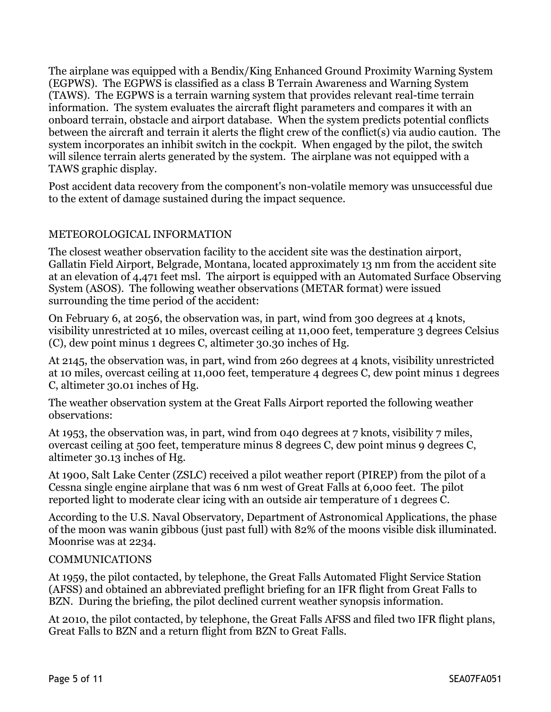The airplane was equipped with a Bendix/King Enhanced Ground Proximity Warning System (EGPWS). The EGPWS is classified as a class B Terrain Awareness and Warning System (TAWS). The EGPWS is a terrain warning system that provides relevant real-time terrain information. The system evaluates the aircraft flight parameters and compares it with an onboard terrain, obstacle and airport database. When the system predicts potential conflicts between the aircraft and terrain it alerts the flight crew of the conflict(s) via audio caution. The system incorporates an inhibit switch in the cockpit. When engaged by the pilot, the switch will silence terrain alerts generated by the system. The airplane was not equipped with a TAWS graphic display.

Post accident data recovery from the component's non-volatile memory was unsuccessful due to the extent of damage sustained during the impact sequence.

#### METEOROLOGICAL INFORMATION

The closest weather observation facility to the accident site was the destination airport, Gallatin Field Airport, Belgrade, Montana, located approximately 13 nm from the accident site at an elevation of 4,471 feet msl. The airport is equipped with an Automated Surface Observing System (ASOS). The following weather observations (METAR format) were issued surrounding the time period of the accident:

On February 6, at 2056, the observation was, in part, wind from 300 degrees at 4 knots, visibility unrestricted at 10 miles, overcast ceiling at 11,000 feet, temperature 3 degrees Celsius (C), dew point minus 1 degrees C, altimeter 30.30 inches of Hg.

At 2145, the observation was, in part, wind from 260 degrees at 4 knots, visibility unrestricted at 10 miles, overcast ceiling at 11,000 feet, temperature 4 degrees C, dew point minus 1 degrees C, altimeter 30.01 inches of Hg.

The weather observation system at the Great Falls Airport reported the following weather observations:

At 1953, the observation was, in part, wind from 040 degrees at 7 knots, visibility 7 miles, overcast ceiling at 500 feet, temperature minus 8 degrees C, dew point minus 9 degrees C, altimeter 30.13 inches of Hg.

At 1900, Salt Lake Center (ZSLC) received a pilot weather report (PIREP) from the pilot of a Cessna single engine airplane that was 6 nm west of Great Falls at 6,000 feet. The pilot reported light to moderate clear icing with an outside air temperature of 1 degrees C.

According to the U.S. Naval Observatory, Department of Astronomical Applications, the phase of the moon was wanin gibbous (just past full) with 82% of the moons visible disk illuminated. Moonrise was at 2234.

#### COMMUNICATIONS

At 1959, the pilot contacted, by telephone, the Great Falls Automated Flight Service Station (AFSS) and obtained an abbreviated preflight briefing for an IFR flight from Great Falls to BZN. During the briefing, the pilot declined current weather synopsis information.

At 2010, the pilot contacted, by telephone, the Great Falls AFSS and filed two IFR flight plans, Great Falls to BZN and a return flight from BZN to Great Falls.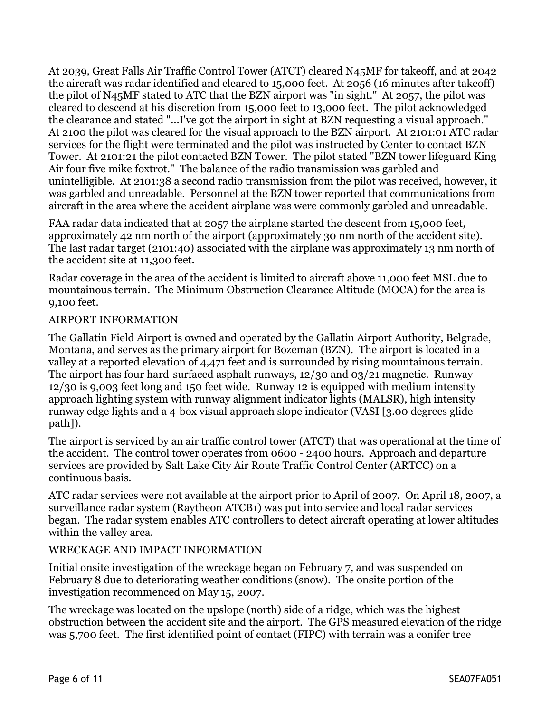At 2039, Great Falls Air Traffic Control Tower (ATCT) cleared N45MF for takeoff, and at 2042 the aircraft was radar identified and cleared to 15,000 feet. At 2056 (16 minutes after takeoff) the pilot of N45MF stated to ATC that the BZN airport was "in sight." At 2057, the pilot was cleared to descend at his discretion from 15,000 feet to 13,000 feet. The pilot acknowledged the clearance and stated "…I've got the airport in sight at BZN requesting a visual approach." At 2100 the pilot was cleared for the visual approach to the BZN airport. At 2101:01 ATC radar services for the flight were terminated and the pilot was instructed by Center to contact BZN Tower. At 2101:21 the pilot contacted BZN Tower. The pilot stated "BZN tower lifeguard King Air four five mike foxtrot." The balance of the radio transmission was garbled and unintelligible. At 2101:38 a second radio transmission from the pilot was received, however, it was garbled and unreadable. Personnel at the BZN tower reported that communications from aircraft in the area where the accident airplane was were commonly garbled and unreadable.

FAA radar data indicated that at 2057 the airplane started the descent from 15,000 feet, approximately 42 nm north of the airport (approximately 30 nm north of the accident site). The last radar target (2101:40) associated with the airplane was approximately 13 nm north of the accident site at 11,300 feet.

Radar coverage in the area of the accident is limited to aircraft above 11,000 feet MSL due to mountainous terrain. The Minimum Obstruction Clearance Altitude (MOCA) for the area is 9,100 feet.

#### AIRPORT INFORMATION

The Gallatin Field Airport is owned and operated by the Gallatin Airport Authority, Belgrade, Montana, and serves as the primary airport for Bozeman (BZN). The airport is located in a valley at a reported elevation of 4,471 feet and is surrounded by rising mountainous terrain. The airport has four hard-surfaced asphalt runways, 12/30 and 03/21 magnetic. Runway 12/30 is 9,003 feet long and 150 feet wide. Runway 12 is equipped with medium intensity approach lighting system with runway alignment indicator lights (MALSR), high intensity runway edge lights and a 4-box visual approach slope indicator (VASI [3.00 degrees glide path]).

The airport is serviced by an air traffic control tower (ATCT) that was operational at the time of the accident. The control tower operates from 0600 - 2400 hours. Approach and departure services are provided by Salt Lake City Air Route Traffic Control Center (ARTCC) on a continuous basis.

ATC radar services were not available at the airport prior to April of 2007. On April 18, 2007, a surveillance radar system (Raytheon ATCB1) was put into service and local radar services began. The radar system enables ATC controllers to detect aircraft operating at lower altitudes within the valley area.

#### WRECKAGE AND IMPACT INFORMATION

Initial onsite investigation of the wreckage began on February 7, and was suspended on February 8 due to deteriorating weather conditions (snow). The onsite portion of the investigation recommenced on May 15, 2007.

The wreckage was located on the upslope (north) side of a ridge, which was the highest obstruction between the accident site and the airport. The GPS measured elevation of the ridge was 5,700 feet. The first identified point of contact (FIPC) with terrain was a conifer tree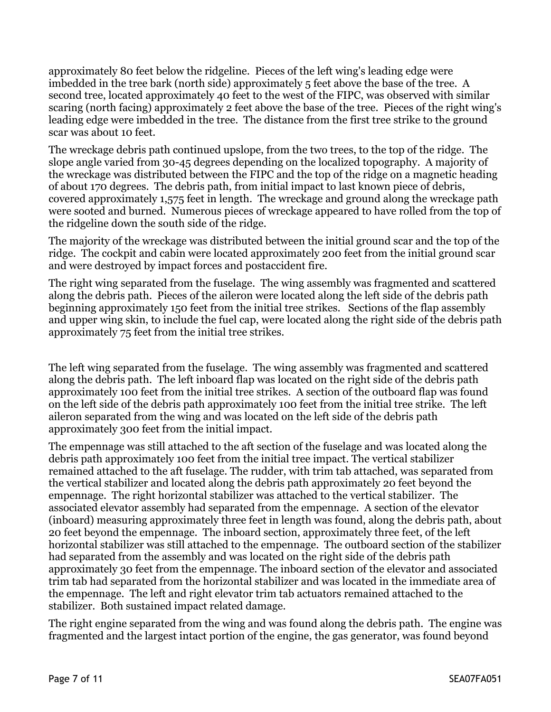approximately 80 feet below the ridgeline. Pieces of the left wing's leading edge were imbedded in the tree bark (north side) approximately 5 feet above the base of the tree. A second tree, located approximately 40 feet to the west of the FIPC, was observed with similar scaring (north facing) approximately 2 feet above the base of the tree. Pieces of the right wing's leading edge were imbedded in the tree. The distance from the first tree strike to the ground scar was about 10 feet.

The wreckage debris path continued upslope, from the two trees, to the top of the ridge. The slope angle varied from 30-45 degrees depending on the localized topography. A majority of the wreckage was distributed between the FIPC and the top of the ridge on a magnetic heading of about 170 degrees. The debris path, from initial impact to last known piece of debris, covered approximately 1,575 feet in length. The wreckage and ground along the wreckage path were sooted and burned. Numerous pieces of wreckage appeared to have rolled from the top of the ridgeline down the south side of the ridge.

The majority of the wreckage was distributed between the initial ground scar and the top of the ridge. The cockpit and cabin were located approximately 200 feet from the initial ground scar and were destroyed by impact forces and postaccident fire.

The right wing separated from the fuselage. The wing assembly was fragmented and scattered along the debris path. Pieces of the aileron were located along the left side of the debris path beginning approximately 150 feet from the initial tree strikes. Sections of the flap assembly and upper wing skin, to include the fuel cap, were located along the right side of the debris path approximately 75 feet from the initial tree strikes.

The left wing separated from the fuselage. The wing assembly was fragmented and scattered along the debris path. The left inboard flap was located on the right side of the debris path approximately 100 feet from the initial tree strikes. A section of the outboard flap was found on the left side of the debris path approximately 100 feet from the initial tree strike. The left aileron separated from the wing and was located on the left side of the debris path approximately 300 feet from the initial impact.

The empennage was still attached to the aft section of the fuselage and was located along the debris path approximately 100 feet from the initial tree impact. The vertical stabilizer remained attached to the aft fuselage. The rudder, with trim tab attached, was separated from the vertical stabilizer and located along the debris path approximately 20 feet beyond the empennage. The right horizontal stabilizer was attached to the vertical stabilizer. The associated elevator assembly had separated from the empennage. A section of the elevator (inboard) measuring approximately three feet in length was found, along the debris path, about 20 feet beyond the empennage. The inboard section, approximately three feet, of the left horizontal stabilizer was still attached to the empennage. The outboard section of the stabilizer had separated from the assembly and was located on the right side of the debris path approximately 30 feet from the empennage. The inboard section of the elevator and associated trim tab had separated from the horizontal stabilizer and was located in the immediate area of the empennage. The left and right elevator trim tab actuators remained attached to the stabilizer. Both sustained impact related damage.

The right engine separated from the wing and was found along the debris path. The engine was fragmented and the largest intact portion of the engine, the gas generator, was found beyond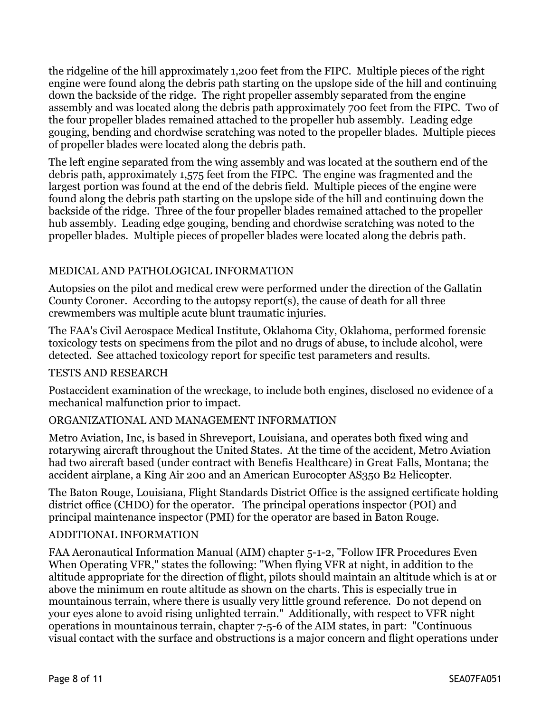the ridgeline of the hill approximately 1,200 feet from the FIPC. Multiple pieces of the right engine were found along the debris path starting on the upslope side of the hill and continuing down the backside of the ridge. The right propeller assembly separated from the engine assembly and was located along the debris path approximately 700 feet from the FIPC. Two of the four propeller blades remained attached to the propeller hub assembly. Leading edge gouging, bending and chordwise scratching was noted to the propeller blades. Multiple pieces of propeller blades were located along the debris path.

The left engine separated from the wing assembly and was located at the southern end of the debris path, approximately 1,575 feet from the FIPC. The engine was fragmented and the largest portion was found at the end of the debris field. Multiple pieces of the engine were found along the debris path starting on the upslope side of the hill and continuing down the backside of the ridge. Three of the four propeller blades remained attached to the propeller hub assembly. Leading edge gouging, bending and chordwise scratching was noted to the propeller blades. Multiple pieces of propeller blades were located along the debris path.

#### MEDICAL AND PATHOLOGICAL INFORMATION

Autopsies on the pilot and medical crew were performed under the direction of the Gallatin County Coroner. According to the autopsy report(s), the cause of death for all three crewmembers was multiple acute blunt traumatic injuries.

The FAA's Civil Aerospace Medical Institute, Oklahoma City, Oklahoma, performed forensic toxicology tests on specimens from the pilot and no drugs of abuse, to include alcohol, were detected. See attached toxicology report for specific test parameters and results.

#### TESTS AND RESEARCH

Postaccident examination of the wreckage, to include both engines, disclosed no evidence of a mechanical malfunction prior to impact.

#### ORGANIZATIONAL AND MANAGEMENT INFORMATION

Metro Aviation, Inc, is based in Shreveport, Louisiana, and operates both fixed wing and rotarywing aircraft throughout the United States. At the time of the accident, Metro Aviation had two aircraft based (under contract with Benefis Healthcare) in Great Falls, Montana; the accident airplane, a King Air 200 and an American Eurocopter AS350 B2 Helicopter.

The Baton Rouge, Louisiana, Flight Standards District Office is the assigned certificate holding district office (CHDO) for the operator. The principal operations inspector (POI) and principal maintenance inspector (PMI) for the operator are based in Baton Rouge.

#### ADDITIONAL INFORMATION

FAA Aeronautical Information Manual (AIM) chapter 5-1-2, "Follow IFR Procedures Even When Operating VFR," states the following: "When flying VFR at night, in addition to the altitude appropriate for the direction of flight, pilots should maintain an altitude which is at or above the minimum en route altitude as shown on the charts. This is especially true in mountainous terrain, where there is usually very little ground reference. Do not depend on your eyes alone to avoid rising unlighted terrain." Additionally, with respect to VFR night operations in mountainous terrain, chapter 7-5-6 of the AIM states, in part: "Continuous visual contact with the surface and obstructions is a major concern and flight operations under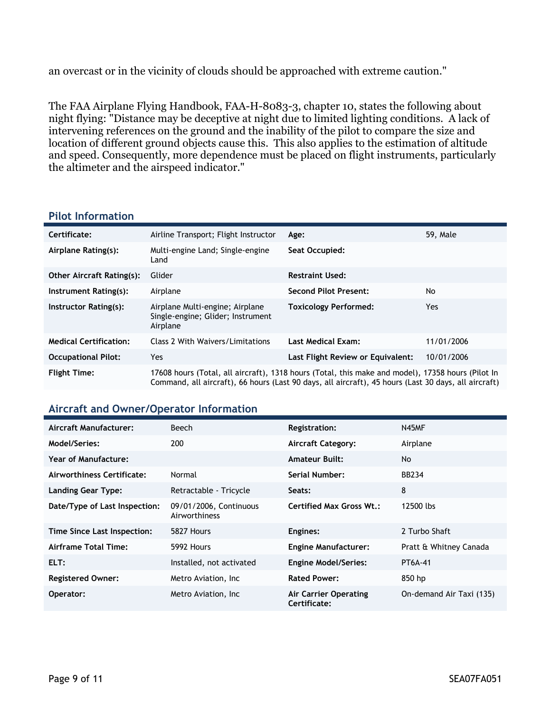an overcast or in the vicinity of clouds should be approached with extreme caution."

The FAA Airplane Flying Handbook, FAA-H-8083-3, chapter 10, states the following about night flying: "Distance may be deceptive at night due to limited lighting conditions. A lack of intervening references on the ground and the inability of the pilot to compare the size and location of different ground objects cause this. This also applies to the estimation of altitude and speed. Consequently, more dependence must be placed on flight instruments, particularly the altimeter and the airspeed indicator."

#### **Pilot Information**

| Certificate:                     | Airline Transport; Flight Instructor                                             | Age:                                                                                                                                                                                                      | 59, Male   |
|----------------------------------|----------------------------------------------------------------------------------|-----------------------------------------------------------------------------------------------------------------------------------------------------------------------------------------------------------|------------|
| Airplane Rating(s):              | Multi-engine Land; Single-engine<br>Land                                         | Seat Occupied:                                                                                                                                                                                            |            |
| <b>Other Aircraft Rating(s):</b> | Glider                                                                           | <b>Restraint Used:</b>                                                                                                                                                                                    |            |
| Instrument Rating(s):            | Airplane                                                                         | <b>Second Pilot Present:</b>                                                                                                                                                                              | No         |
| Instructor Rating(s):            | Airplane Multi-engine; Airplane<br>Single-engine; Glider; Instrument<br>Airplane | <b>Toxicology Performed:</b>                                                                                                                                                                              | Yes        |
| <b>Medical Certification:</b>    | Class 2 With Waivers/Limitations                                                 | <b>Last Medical Exam:</b>                                                                                                                                                                                 | 11/01/2006 |
| <b>Occupational Pilot:</b>       | Yes                                                                              | Last Flight Review or Equivalent:                                                                                                                                                                         | 10/01/2006 |
| <b>Flight Time:</b>              |                                                                                  | 17608 hours (Total, all aircraft), 1318 hours (Total, this make and model), 17358 hours (Pilot In<br>Command, all aircraft), 66 hours (Last 90 days, all aircraft), 45 hours (Last 30 days, all aircraft) |            |

#### **Aircraft and Owner/Operator Information**

| Aircraft Manufacturer:        | Beech                                   | Registration:                                | N45MF                    |
|-------------------------------|-----------------------------------------|----------------------------------------------|--------------------------|
| Model/Series:                 | 200                                     | <b>Aircraft Category:</b>                    | Airplane                 |
| Year of Manufacture:          |                                         | <b>Amateur Built:</b>                        | No.                      |
| Airworthiness Certificate:    | Normal                                  | Serial Number:                               | <b>BB234</b>             |
| <b>Landing Gear Type:</b>     | Retractable - Tricycle                  | Seats:                                       | 8                        |
| Date/Type of Last Inspection: | 09/01/2006, Continuous<br>Airworthiness | <b>Certified Max Gross Wt.:</b>              | 12500 lbs                |
| Time Since Last Inspection:   | 5827 Hours                              | Engines:                                     | 2 Turbo Shaft            |
| Airframe Total Time:          | 5992 Hours                              | <b>Engine Manufacturer:</b>                  | Pratt & Whitney Canada   |
| ELT:                          | Installed, not activated                | <b>Engine Model/Series:</b>                  | PT6A-41                  |
| <b>Registered Owner:</b>      | Metro Aviation, Inc.                    | <b>Rated Power:</b>                          | 850 hp                   |
| Operator:                     | Metro Aviation, Inc.                    | <b>Air Carrier Operating</b><br>Certificate: | On-demand Air Taxi (135) |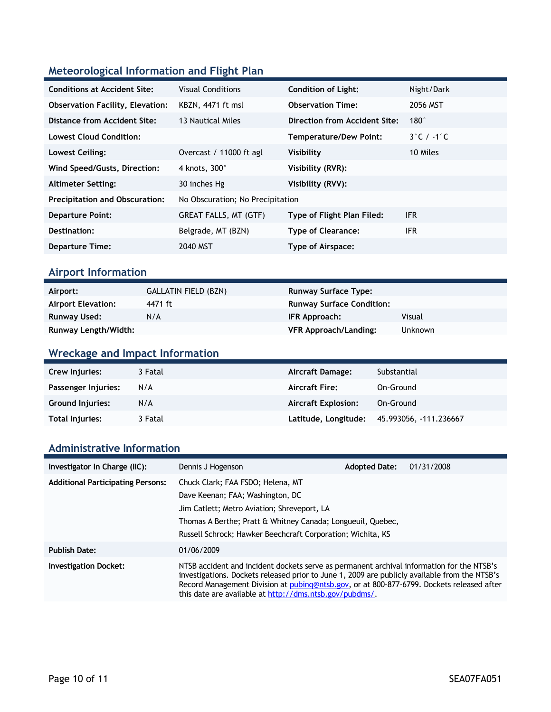### **Meteorological Information and Flight Plan**

| <b>Conditions at Accident Site:</b>     | <b>Visual Conditions</b>         | <b>Condition of Light:</b>    | Night/Dark                      |
|-----------------------------------------|----------------------------------|-------------------------------|---------------------------------|
| <b>Observation Facility, Elevation:</b> | KBZN, 4471 ft msl                | <b>Observation Time:</b>      | 2056 MST                        |
| Distance from Accident Site:            | 13 Nautical Miles                | Direction from Accident Site: | $180^\circ$                     |
| <b>Lowest Cloud Condition:</b>          |                                  | <b>Temperature/Dew Point:</b> | $3^{\circ}$ C / -1 $^{\circ}$ C |
| Lowest Ceiling:                         | Overcast / 11000 ft agl          | Visibility                    | 10 Miles                        |
| Wind Speed/Gusts, Direction:            | 4 knots, 300°                    | Visibility (RVR):             |                                 |
| <b>Altimeter Setting:</b>               | 30 inches Hg                     | Visibility (RVV):             |                                 |
| <b>Precipitation and Obscuration:</b>   | No Obscuration; No Precipitation |                               |                                 |
| <b>Departure Point:</b>                 | GREAT FALLS, MT (GTF)            | Type of Flight Plan Filed:    | <b>IFR</b>                      |
| Destination:                            | Belgrade, MT (BZN)               | <b>Type of Clearance:</b>     | <b>IFR</b>                      |
| <b>Departure Time:</b>                  | 2040 MST                         | Type of Airspace:             |                                 |

### **Airport Information**

| Airport:                  | <b>GALLATIN FIELD (BZN)</b> | <b>Runway Surface Type:</b>      |                |
|---------------------------|-----------------------------|----------------------------------|----------------|
| <b>Airport Elevation:</b> | 4471 ft                     | <b>Runway Surface Condition:</b> |                |
| Runway Used:              | N/A                         | IFR Approach:                    | Visual         |
| Runway Length/Width:      |                             | <b>VFR Approach/Landing:</b>     | <b>Unknown</b> |

### **Wreckage and Impact Information**

| Crew Injuries:          | 3 Fatal | Aircraft Damage:           | Substantial           |
|-------------------------|---------|----------------------------|-----------------------|
| Passenger Injuries:     | N/A     | <b>Aircraft Fire:</b>      | On-Ground             |
| <b>Ground Injuries:</b> | N/A     | <b>Aircraft Explosion:</b> | On-Ground             |
| <b>Total Injuries:</b>  | 3 Fatal | Latitude, Longitude:       | 45.993056, 111.236667 |

#### **Administrative Information**

| Investigator In Charge (IIC):            | Dennis J Hogenson                                                                                                                                                                                                                                                                                                                                  | <b>Adopted Date:</b> | 01/31/2008 |
|------------------------------------------|----------------------------------------------------------------------------------------------------------------------------------------------------------------------------------------------------------------------------------------------------------------------------------------------------------------------------------------------------|----------------------|------------|
| <b>Additional Participating Persons:</b> | Chuck Clark; FAA FSDO; Helena, MT<br>Dave Keenan; FAA; Washington, DC<br>Jim Catlett; Metro Aviation; Shreveport, LA<br>Thomas A Berthe; Pratt & Whitney Canada; Longueuil, Quebec,<br>Russell Schrock; Hawker Beechcraft Corporation; Wichita, KS                                                                                                 |                      |            |
| <b>Publish Date:</b>                     | 01/06/2009                                                                                                                                                                                                                                                                                                                                         |                      |            |
| <b>Investigation Docket:</b>             | NTSB accident and incident dockets serve as permanent archival information for the NTSB's<br>investigations. Dockets released prior to June 1, 2009 are publicly available from the NTSB's<br>Record Management Division at pubing@ntsb.gov, or at 800-877-6799. Dockets released after<br>this date are available at http://dms.ntsb.gov/pubdms/. |                      |            |